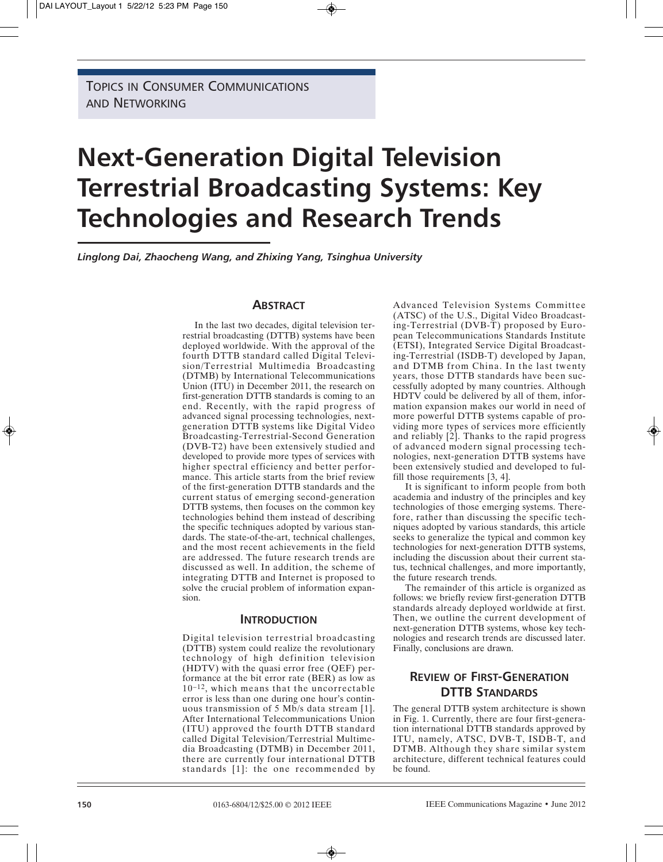TOPICS IN CONSUMER COMMUNICATIONS AND NETWORKING

# **Next-Generation Digital Television Terrestrial Broadcasting Systems: Key Technologies and Research Trends**

*Linglong Dai, Zhaocheng Wang, and Zhixing Yang, Tsinghua University*

# **ABSTRACT**

In the last two decades, digital television terrestrial broadcasting (DTTB) systems have been deployed worldwide. With the approval of the fourth DTTB standard called Digital Television/Terrestrial Multimedia Broadcasting (DTMB) by International Telecommunications Union (ITU) in December 2011, the research on first-generation DTTB standards is coming to an end. Recently, with the rapid progress of advanced signal processing technologies, nextgeneration DTTB systems like Digital Video Broadcasting-Terrestrial-Second Generation (DVB-T2) have been extensively studied and developed to provide more types of services with higher spectral efficiency and better performance. This article starts from the brief review of the first-generation DTTB standards and the current status of emerging second-generation DTTB systems, then focuses on the common key technologies behind them instead of describing the specific techniques adopted by various standards. The state-of-the-art, technical challenges, and the most recent achievements in the field are addressed. The future research trends are discussed as well. In addition, the scheme of integrating DTTB and Internet is proposed to solve the crucial problem of information expansion.

# **INTRODUCTION**

Digital television terrestrial broadcasting (DTTB) system could realize the revolutionary technology of high definition television (HDTV) with the quasi error free (QEF) performance at the bit error rate (BER) as low as 10–12, which means that the uncorrectable error is less than one during one hour's continuous transmission of 5 Mb/s data stream [1]. After International Telecommunications Union (ITU) approved the fourth DTTB standard called Digital Television/Terrestrial Multimedia Broadcasting (DTMB) in December 2011, there are currently four international DTTB standards [1]: the one recommended by Advanced Television Systems Committee (ATSC) of the U.S., Digital Video Broadcasting-Terrestrial (DVB-T) proposed by European Telecommunications Standards Institute (ETSI), Integrated Service Digital Broadcasting-Terrestrial (ISDB-T) developed by Japan, and DTMB from China. In the last twenty years, those DTTB standards have been successfully adopted by many countries. Although HDTV could be delivered by all of them, information expansion makes our world in need of more powerful DTTB systems capable of providing more types of services more efficiently and reliably [2]. Thanks to the rapid progress of advanced modern signal processing technologies, next-generation DTTB systems have been extensively studied and developed to fulfill those requirements [3, 4].

It is significant to inform people from both academia and industry of the principles and key technologies of those emerging systems. Therefore, rather than discussing the specific techniques adopted by various standards, this article seeks to generalize the typical and common key technologies for next-generation DTTB systems, including the discussion about their current status, technical challenges, and more importantly, the future research trends.

The remainder of this article is organized as follows: we briefly review first-generation DTTB standards already deployed worldwide at first. Then, we outline the current development of next-generation DTTB systems, whose key technologies and research trends are discussed later. Finally, conclusions are drawn.

# **REVIEW OF FIRST-GENERATION DTTB STANDARDS**

The general DTTB system architecture is shown in Fig. 1. Currently, there are four first-generation international DTTB standards approved by ITU, namely, ATSC, DVB-T, ISDB-T, and DTMB. Although they share similar system architecture, different technical features could be found.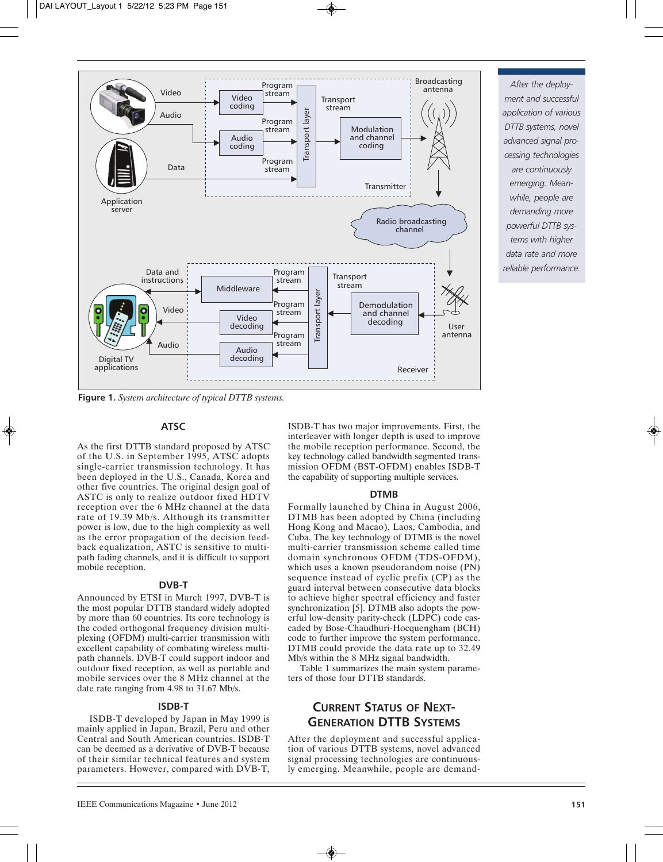

*After the deployment and successful application of various DTTB systems, novel advanced signal processing technologies are continuously emerging. Meanwhile, people are demanding more powerful DTTB systems with higher data rate and more reliable performance.*

**Figure 1.** *System architecture of typical DTTB systems.*

#### **ATSC**

As the first DTTB standard proposed by ATSC of the U.S. in September 1995, ATSC adopts single-carrier transmission technology. It has been deployed in the U.S., Canada, Korea and other five countries. The original design goal of ASTC is only to realize outdoor fixed HDTV reception over the 6 MHz channel at the data rate of 19.39 Mb/s. Although its transmitter power is low, due to the high complexity as well as the error propagation of the decision feedback equalization, ASTC is sensitive to multipath fading channels, and it is difficult to support mobile reception.

# **DVB-T**

Announced by ETSI in March 1997, DVB-T is the most popular DTTB standard widely adopted by more than 60 countries. Its core technology is the coded orthogonal frequency division multiplexing (OFDM) multi-carrier transmission with excellent capability of combating wireless multipath channels. DVB-T could support indoor and outdoor fixed reception, as well as portable and mobile services over the 8 MHz channel at the date rate ranging from 4.98 to 31.67 Mb/s.

#### **ISDB-T**

ISDB-T developed by Japan in May 1999 is mainly applied in Japan, Brazil, Peru and other Central and South American countries. ISDB-T can be deemed as a derivative of DVB-T because of their similar technical features and system parameters. However, compared with DVB-T,

ISDB-T has two major improvements. First, the interleaver with longer depth is used to improve the mobile reception performance. Second, the key technology called bandwidth segmented transmission OFDM (BST-OFDM) enables ISDB-T the capability of supporting multiple services.

#### **DTMB**

Formally launched by China in August 2006, DTMB has been adopted by China (including Hong Kong and Macao), Laos, Cambodia, and Cuba. The key technology of DTMB is the novel multi-carrier transmission scheme called time domain synchronous OFDM (TDS-OFDM), which uses a known pseudorandom noise (PN) sequence instead of cyclic prefix (CP) as the guard interval between consecutive data blocks to achieve higher spectral efficiency and faster synchronization [5]. DTMB also adopts the powerful low-density parity-check (LDPC) code cascaded by Bose-Chaudhuri-Hocquengham (BCH) code to further improve the system performance. DTMB could provide the data rate up to 32.49 Mb/s within the 8 MHz signal bandwidth.

Table 1 summarizes the main system parameters of those four DTTB standards.

# **CURRENT STATUS OF NEXT-GENERATION DTTB SYSTEMS**

After the deployment and successful application of various DTTB systems, novel advanced signal processing technologies are continuously emerging. Meanwhile, people are demand-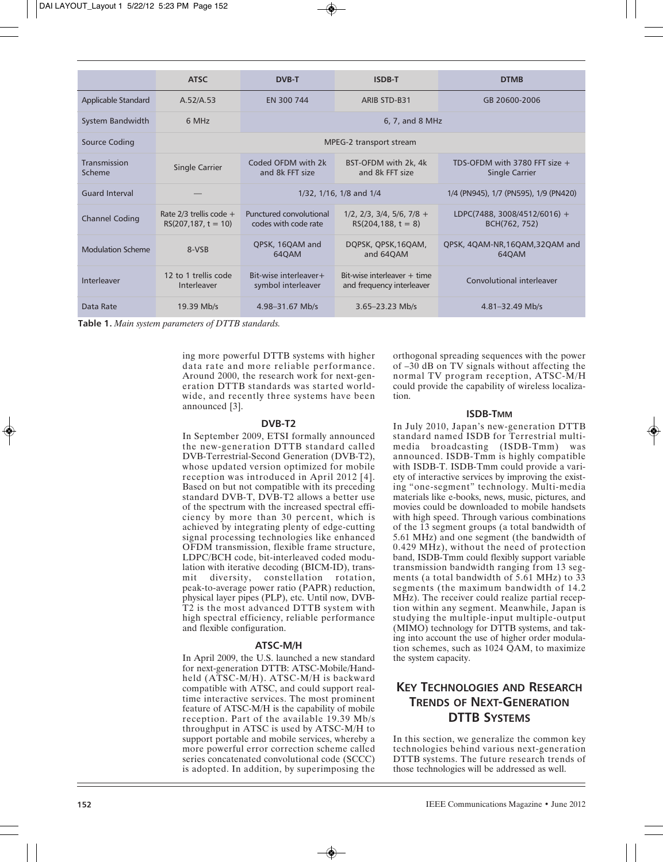|                          | <b>ATSC</b>                                         | <b>DVB-T</b>                                    | <b>ISDB-T</b>                                                    | <b>DTMB</b>                                              |
|--------------------------|-----------------------------------------------------|-------------------------------------------------|------------------------------------------------------------------|----------------------------------------------------------|
| Applicable Standard      | A.52/A.53                                           | EN 300 744                                      | <b>ARIB STD-B31</b>                                              | GB 20600-2006                                            |
| System Bandwidth         | 6 MHz                                               | 6, 7, and 8 MHz                                 |                                                                  |                                                          |
| Source Coding            | MPEG-2 transport stream                             |                                                 |                                                                  |                                                          |
| Transmission<br>Scheme   | Single Carrier                                      | Coded OFDM with 2k<br>and 8k FFT size           | BST-OFDM with 2k, 4k<br>and 8k FFT size                          | TDS-OFDM with 3780 FFT size $+$<br><b>Single Carrier</b> |
| <b>Guard Interval</b>    |                                                     | 1/32, 1/16, 1/8 and 1/4                         |                                                                  | 1/4 (PN945), 1/7 (PN595), 1/9 (PN420)                    |
| <b>Channel Coding</b>    | Rate $2/3$ trellis code +<br>$RS(207, 187, t = 10)$ | Punctured convolutional<br>codes with code rate | $1/2$ , $2/3$ , $3/4$ , $5/6$ , $7/8$ +<br>$RS(204, 188, t = 8)$ | LDPC(7488, 3008/4512/6016) +<br>BCH(762, 752)            |
| <b>Modulation Scheme</b> | 8-VSB                                               | QPSK, 16QAM and<br>64QAM                        | DOPSK, OPSK, 16QAM,<br>and 64QAM                                 | QPSK, 4QAM-NR, 16QAM, 32QAM and<br>64QAM                 |
| Interleaver              | 12 to 1 trellis code<br>Interleaver                 | Bit-wise interleaver+<br>symbol interleaver     | $Bit-wise interleave + time$<br>and frequency interleaver        | Convolutional interleaver                                |
| Data Rate                | 19.39 Mb/s                                          | 4.98-31.67 Mb/s                                 | $3.65 - 23.23$ Mb/s                                              | $4.81 - 32.49$ Mb/s                                      |

**Table 1.** *Main system parameters of DTTB standards.*

ing more powerful DTTB systems with higher data rate and more reliable performance. Around 2000, the research work for next-generation DTTB standards was started worldwide, and recently three systems have been announced [3].

#### **DVB-T2**

In September 2009, ETSI formally announced the new-generation DTTB standard called DVB-Terrestrial-Second Generation (DVB-T2), whose updated version optimized for mobile reception was introduced in April 2012 [4]. Based on but not compatible with its preceding standard DVB-T, DVB-T2 allows a better use of the spectrum with the increased spectral efficiency by more than 30 percent, which is achieved by integrating plenty of edge-cutting signal processing technologies like enhanced OFDM transmission, flexible frame structure, LDPC/BCH code, bit-interleaved coded modulation with iterative decoding (BICM-ID), transmit diversity, constellation rotation, peak-to-average power ratio (PAPR) reduction, physical layer pipes (PLP), etc. Until now, DVB-T2 is the most advanced DTTB system with high spectral efficiency, reliable performance and flexible configuration.

#### **ATSC-M/H**

In April 2009, the U.S. launched a new standard for next-generation DTTB: ATSC-Mobile/Handheld (ATSC-M/H). ATSC-M/H is backward compatible with ATSC, and could support realtime interactive services. The most prominent feature of ATSC-M/H is the capability of mobile reception. Part of the available 19.39 Mb/s throughput in ATSC is used by ATSC-M/H to support portable and mobile services, whereby a more powerful error correction scheme called series concatenated convolutional code (SCCC) is adopted. In addition, by superimposing the orthogonal spreading sequences with the power of –30 dB on TV signals without affecting the normal TV program reception, ATSC-M/H could provide the capability of wireless localization.

#### **ISDB-TMM**

In July 2010, Japan's new-generation DTTB standard named ISDB for Terrestrial multimedia broadcasting (ISDB-Tmm) was announced. ISDB-Tmm is highly compatible with ISDB-T. ISDB-Tmm could provide a variety of interactive services by improving the existing "one-segment" technology. Multi-media materials like e-books, news, music, pictures, and movies could be downloaded to mobile handsets with high speed. Through various combinations of the 13 segment groups (a total bandwidth of 5.61 MHz) and one segment (the bandwidth of 0.429 MHz), without the need of protection band, ISDB-Tmm could flexibly support variable transmission bandwidth ranging from 13 segments (a total bandwidth of 5.61 MHz) to 33 segments (the maximum bandwidth of 14.2 MHz). The receiver could realize partial reception within any segment. Meanwhile, Japan is studying the multiple-input multiple-output (MIMO) technology for DTTB systems, and taking into account the use of higher order modulation schemes, such as 1024 QAM, to maximize the system capacity.

# **KEY TECHNOLOGIES AND RESEARCH TRENDS OF NEXT-GENERATION DTTB SYSTEMS**

In this section, we generalize the common key technologies behind various next-generation DTTB systems. The future research trends of those technologies will be addressed as well.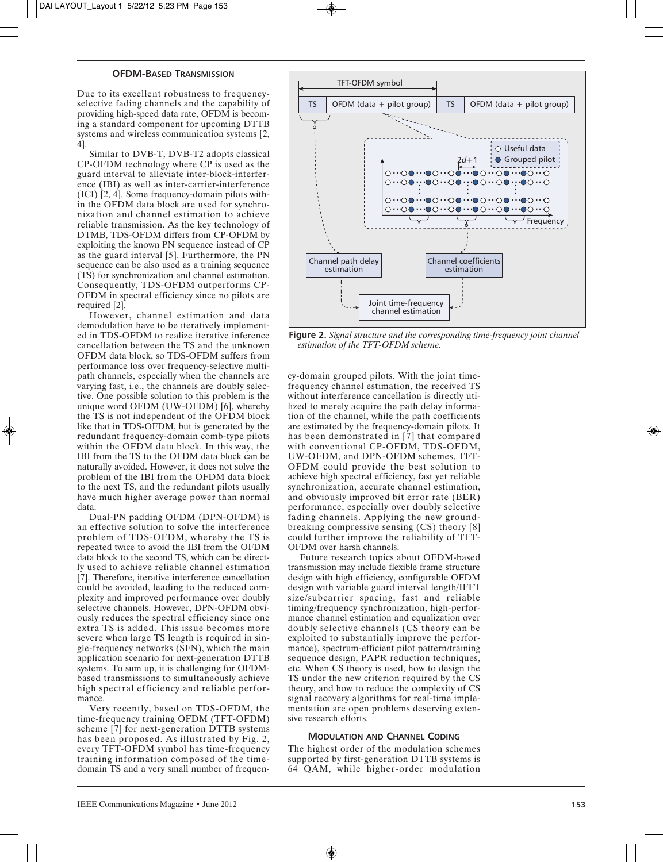#### **OFDM-BASED TRANSMISSION**

Due to its excellent robustness to frequencyselective fading channels and the capability of providing high-speed data rate, OFDM is becoming a standard component for upcoming DTTB systems and wireless communication systems [2, 4].

Similar to DVB-T, DVB-T2 adopts classical CP-OFDM technology where CP is used as the guard interval to alleviate inter-block-interference (IBI) as well as inter-carrier-interference (ICI) [2, 4]. Some frequency-domain pilots within the OFDM data block are used for synchronization and channel estimation to achieve reliable transmission. As the key technology of DTMB, TDS-OFDM differs from CP-OFDM by exploiting the known PN sequence instead of CP as the guard interval [5]. Furthermore, the PN sequence can be also used as a training sequence (TS) for synchronization and channel estimation. Consequently, TDS-OFDM outperforms CP-OFDM in spectral efficiency since no pilots are required [2].

However, channel estimation and data demodulation have to be iteratively implemented in TDS-OFDM to realize iterative inference cancellation between the TS and the unknown OFDM data block, so TDS-OFDM suffers from performance loss over frequency-selective multipath channels, especially when the channels are varying fast, i.e., the channels are doubly selective. One possible solution to this problem is the unique word OFDM (UW-OFDM) [6], whereby the TS is not independent of the OFDM block like that in TDS-OFDM, but is generated by the redundant frequency-domain comb-type pilots within the OFDM data block. In this way, the IBI from the TS to the OFDM data block can be naturally avoided. However, it does not solve the problem of the IBI from the OFDM data block to the next TS, and the redundant pilots usually have much higher average power than normal data.

Dual-PN padding OFDM (DPN-OFDM) is an effective solution to solve the interference problem of TDS-OFDM, whereby the TS is repeated twice to avoid the IBI from the OFDM data block to the second TS, which can be directly used to achieve reliable channel estimation [7]. Therefore, iterative interference cancellation could be avoided, leading to the reduced complexity and improved performance over doubly selective channels. However, DPN-OFDM obviously reduces the spectral efficiency since one extra TS is added. This issue becomes more severe when large TS length is required in single-frequency networks (SFN), which the main application scenario for next-generation DTTB systems. To sum up, it is challenging for OFDMbased transmissions to simultaneously achieve high spectral efficiency and reliable performance.

Very recently, based on TDS-OFDM, the time-frequency training OFDM (TFT-OFDM) scheme [7] for next-generation DTTB systems has been proposed. As illustrated by Fig. 2, every TFT-OFDM symbol has time-frequency training information composed of the timedomain TS and a very small number of frequen-



**Figure 2.** *Signal structure and the corresponding time-frequency joint channel estimation of the TFT-OFDM scheme.*

cy-domain grouped pilots. With the joint timefrequency channel estimation, the received TS without interference cancellation is directly utilized to merely acquire the path delay information of the channel, while the path coefficients are estimated by the frequency-domain pilots. It has been demonstrated in [7] that compared with conventional CP-OFDM, TDS-OFDM, UW-OFDM, and DPN-OFDM schemes, TFT-OFDM could provide the best solution to achieve high spectral efficiency, fast yet reliable synchronization, accurate channel estimation, and obviously improved bit error rate (BER) performance, especially over doubly selective fading channels. Applying the new groundbreaking compressive sensing (CS) theory [8] could further improve the reliability of TFT-OFDM over harsh channels.

Future research topics about OFDM-based transmission may include flexible frame structure design with high efficiency, configurable OFDM design with variable guard interval length/IFFT size/subcarrier spacing, fast and reliable timing/frequency synchronization, high-performance channel estimation and equalization over doubly selective channels (CS theory can be exploited to substantially improve the performance), spectrum-efficient pilot pattern/training sequence design, PAPR reduction techniques, etc. When CS theory is used, how to design the TS under the new criterion required by the CS theory, and how to reduce the complexity of CS signal recovery algorithms for real-time implementation are open problems deserving extensive research efforts.

#### **MODULATION AND CHANNEL CODING**

The highest order of the modulation schemes supported by first-generation DTTB systems is 64 QAM, while higher-order modulation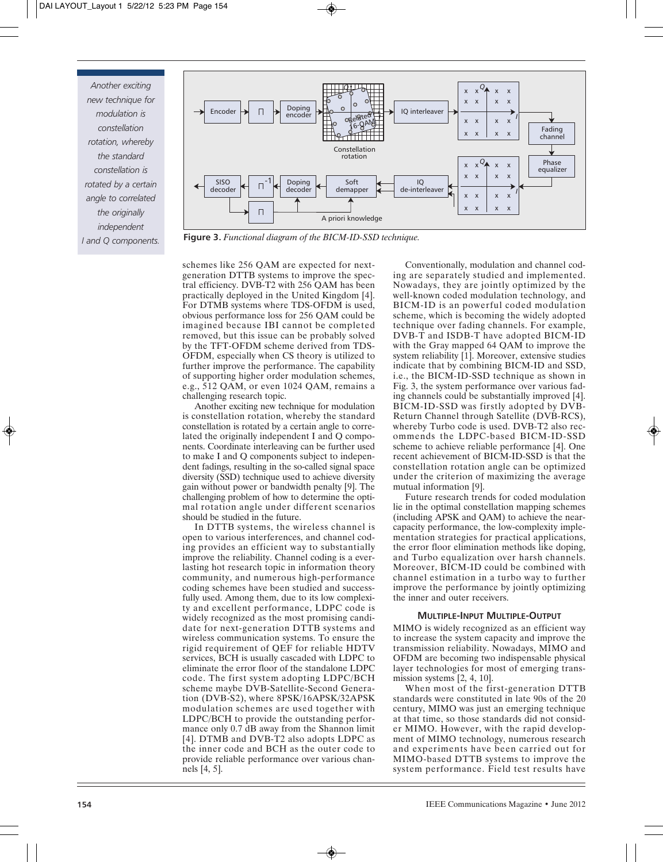*Another exciting new technique for modulation is constellation rotation, whereby the standard constellation is rotated by a certain angle to correlated the originally independent I and Q components.*



**Figure 3.** *Functional diagram of the BICM-ID-SSD technique.*

schemes like 256 QAM are expected for nextgeneration DTTB systems to improve the spectral efficiency. DVB-T2 with 256 QAM has been practically deployed in the United Kingdom [4]. For DTMB systems where TDS-OFDM is used, obvious performance loss for 256 QAM could be imagined because IBI cannot be completed removed, but this issue can be probably solved by the TFT-OFDM scheme derived from TDS-OFDM, especially when CS theory is utilized to further improve the performance. The capability of supporting higher order modulation schemes, e.g., 512 QAM, or even 1024 QAM, remains a challenging research topic.

Another exciting new technique for modulation is constellation rotation, whereby the standard constellation is rotated by a certain angle to correlated the originally independent I and Q components. Coordinate interleaving can be further used to make I and Q components subject to independent fadings, resulting in the so-called signal space diversity (SSD) technique used to achieve diversity gain without power or bandwidth penalty [9]. The challenging problem of how to determine the optimal rotation angle under different scenarios should be studied in the future.

In DTTB systems, the wireless channel is open to various interferences, and channel coding provides an efficient way to substantially improve the reliability. Channel coding is a everlasting hot research topic in information theory community, and numerous high-performance coding schemes have been studied and successfully used. Among them, due to its low complexity and excellent performance, LDPC code is widely recognized as the most promising candidate for next-generation DTTB systems and wireless communication systems. To ensure the rigid requirement of QEF for reliable HDTV services, BCH is usually cascaded with LDPC to eliminate the error floor of the standalone LDPC code. The first system adopting LDPC/BCH scheme maybe DVB-Satellite-Second Generation (DVB-S2), where 8PSK/16APSK/32APSK modulation schemes are used together with LDPC/BCH to provide the outstanding performance only 0.7 dB away from the Shannon limit [4]. DTMB and DVB-T2 also adopts LDPC as the inner code and BCH as the outer code to provide reliable performance over various channels [4, 5].

Conventionally, modulation and channel coding are separately studied and implemented. Nowadays, they are jointly optimized by the well-known coded modulation technology, and BICM-ID is an powerful coded modulation scheme, which is becoming the widely adopted technique over fading channels. For example, DVB-T and ISDB-T have adopted BICM-ID with the Gray mapped 64 QAM to improve the system reliability [1]. Moreover, extensive studies indicate that by combining BICM-ID and SSD, i.e., the BICM-ID-SSD technique as shown in Fig. 3, the system performance over various fading channels could be substantially improved [4]. BICM-ID-SSD was firstly adopted by DVB-Return Channel through Satellite (DVB-RCS), whereby Turbo code is used. DVB-T2 also recommends the LDPC-based BICM-ID-SSD scheme to achieve reliable performance [4]. One recent achievement of BICM-ID-SSD is that the constellation rotation angle can be optimized under the criterion of maximizing the average mutual information [9].

Future research trends for coded modulation lie in the optimal constellation mapping schemes (including APSK and QAM) to achieve the nearcapacity performance, the low-complexity implementation strategies for practical applications, the error floor elimination methods like doping, and Turbo equalization over harsh channels. Moreover, BICM-ID could be combined with channel estimation in a turbo way to further improve the performance by jointly optimizing the inner and outer receivers.

# **MULTIPLE-INPUT MULTIPLE-OUTPUT**

MIMO is widely recognized as an efficient way to increase the system capacity and improve the transmission reliability. Nowadays, MIMO and OFDM are becoming two indispensable physical layer technologies for most of emerging transmission systems [2, 4, 10].

When most of the first-generation DTTB standards were constituted in late 90s of the 20 century, MIMO was just an emerging technique at that time, so those standards did not consider MIMO. However, with the rapid development of MIMO technology, numerous research and experiments have been carried out for MIMO-based DTTB systems to improve the system performance. Field test results have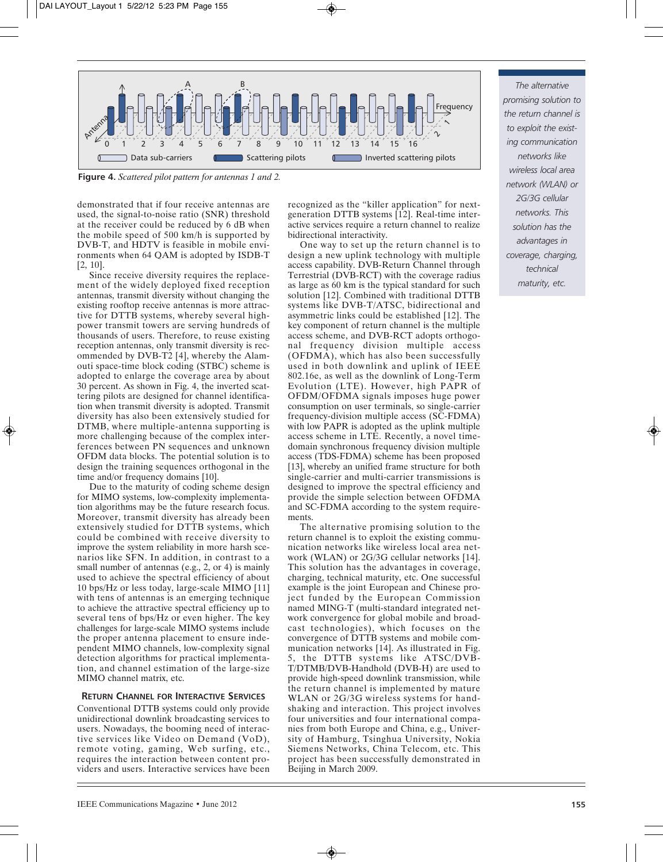

**Figure 4.** *Scattered pilot pattern for antennas 1 and 2.*

demonstrated that if four receive antennas are used, the signal-to-noise ratio (SNR) threshold at the receiver could be reduced by 6 dB when the mobile speed of 500 km/h is supported by DVB-T, and HDTV is feasible in mobile environments when 64 QAM is adopted by ISDB-T [2, 10].

Since receive diversity requires the replacement of the widely deployed fixed reception antennas, transmit diversity without changing the existing rooftop receive antennas is more attractive for DTTB systems, whereby several highpower transmit towers are serving hundreds of thousands of users. Therefore, to reuse existing reception antennas, only transmit diversity is recommended by DVB-T2 [4], whereby the Alamouti space-time block coding (STBC) scheme is adopted to enlarge the coverage area by about 30 percent. As shown in Fig. 4, the inverted scattering pilots are designed for channel identification when transmit diversity is adopted. Transmit diversity has also been extensively studied for DTMB, where multiple-antenna supporting is more challenging because of the complex interferences between PN sequences and unknown OFDM data blocks. The potential solution is to design the training sequences orthogonal in the time and/or frequency domains [10].

Due to the maturity of coding scheme design for MIMO systems, low-complexity implementation algorithms may be the future research focus. Moreover, transmit diversity has already been extensively studied for DTTB systems, which could be combined with receive diversity to improve the system reliability in more harsh scenarios like SFN. In addition, in contrast to a small number of antennas (e.g., 2, or 4) is mainly used to achieve the spectral efficiency of about 10 bps/Hz or less today, large-scale MIMO [11] with tens of antennas is an emerging technique to achieve the attractive spectral efficiency up to several tens of bps/Hz or even higher. The key challenges for large-scale MIMO systems include the proper antenna placement to ensure independent MIMO channels, low-complexity signal detection algorithms for practical implementation, and channel estimation of the large-size MIMO channel matrix, etc.

# **RETURN CHANNEL FOR INTERACTIVE SERVICES**

Conventional DTTB systems could only provide unidirectional downlink broadcasting services to users. Nowadays, the booming need of interactive services like Video on Demand (VoD), remote voting, gaming, Web surfing, etc., requires the interaction between content providers and users. Interactive services have been

recognized as the "killer application" for nextgeneration DTTB systems [12]. Real-time interactive services require a return channel to realize bidirectional interactivity.

One way to set up the return channel is to design a new uplink technology with multiple access capability. DVB-Return Channel through Terrestrial (DVB-RCT) with the coverage radius as large as 60 km is the typical standard for such solution [12]. Combined with traditional DTTB systems like DVB-T/ATSC, bidirectional and asymmetric links could be established [12]. The key component of return channel is the multiple access scheme, and DVB-RCT adopts orthogonal frequency division multiple access (OFDMA), which has also been successfully used in both downlink and uplink of IEEE 802.16e, as well as the downlink of Long-Term Evolution (LTE). However, high PAPR of OFDM/OFDMA signals imposes huge power consumption on user terminals, so single-carrier frequency-division multiple access (SC-FDMA) with low PAPR is adopted as the uplink multiple access scheme in LTE. Recently, a novel timedomain synchronous frequency division multiple access (TDS-FDMA) scheme has been proposed [13], whereby an unified frame structure for both single-carrier and multi-carrier transmissions is designed to improve the spectral efficiency and provide the simple selection between OFDMA and SC-FDMA according to the system requirements.

The alternative promising solution to the return channel is to exploit the existing communication networks like wireless local area network (WLAN) or 2G/3G cellular networks [14]. This solution has the advantages in coverage, charging, technical maturity, etc. One successful example is the joint European and Chinese project funded by the European Commission named MING-T (multi-standard integrated network convergence for global mobile and broadcast technologies), which focuses on the convergence of DTTB systems and mobile communication networks [14]. As illustrated in Fig. 5, the DTTB systems like ATSC/DVB-T/DTMB/DVB-Handhold (DVB-H) are used to provide high-speed downlink transmission, while the return channel is implemented by mature WLAN or 2G/3G wireless systems for handshaking and interaction. This project involves four universities and four international companies from both Europe and China, e.g., University of Hamburg, Tsinghua University, Nokia Siemens Networks, China Telecom, etc. This project has been successfully demonstrated in Beijing in March 2009.

*The alternative promising solution to the return channel is to exploit the existing communication networks like wireless local area network (WLAN) or 2G/3G cellular networks. This solution has the advantages in coverage, charging, technical maturity, etc.*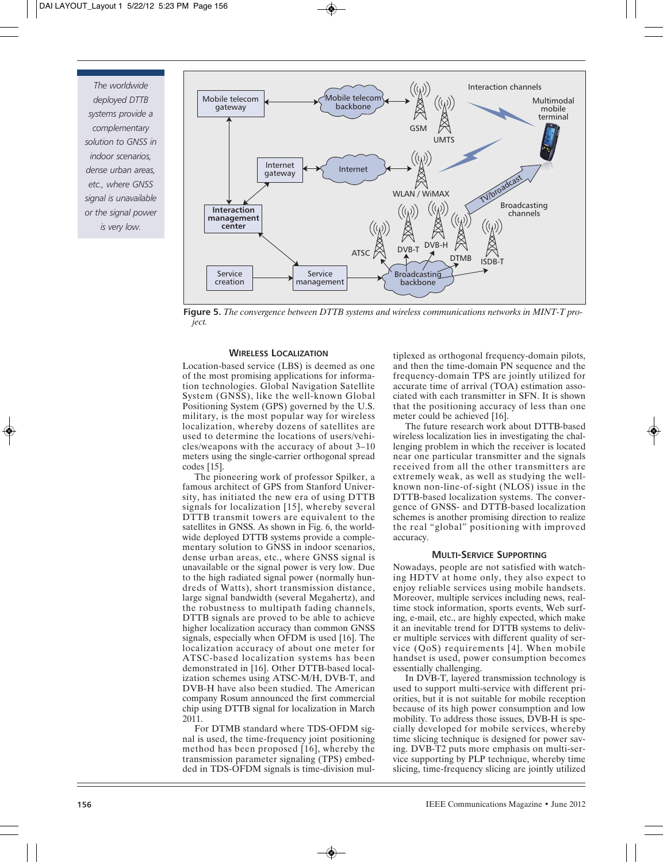*The worldwide deployed DTTB systems provide a complementary solution to GNSS in indoor scenarios, dense urban areas, etc., where GNSS signal is unavailable or the signal power is very low.*



**Figure 5.** *The convergence between DTTB systems and wireless communications networks in MINT-T project.*

#### **WIRELESS LOCALIZATION**

Location-based service (LBS) is deemed as one of the most promising applications for information technologies. Global Navigation Satellite System (GNSS), like the well-known Global Positioning System (GPS) governed by the U.S. military, is the most popular way for wireless localization, whereby dozens of satellites are used to determine the locations of users/vehicles/weapons with the accuracy of about 3–10 meters using the single-carrier orthogonal spread codes [15].

The pioneering work of professor Spilker, a famous architect of GPS from Stanford University, has initiated the new era of using DTTB signals for localization [15], whereby several DTTB transmit towers are equivalent to the satellites in GNSS. As shown in Fig. 6, the worldwide deployed DTTB systems provide a complementary solution to GNSS in indoor scenarios, dense urban areas, etc., where GNSS signal is unavailable or the signal power is very low. Due to the high radiated signal power (normally hundreds of Watts), short transmission distance, large signal bandwidth (several Megahertz), and the robustness to multipath fading channels, DTTB signals are proved to be able to achieve higher localization accuracy than common GNSS signals, especially when OFDM is used [16]. The localization accuracy of about one meter for ATSC-based localization systems has been demonstrated in [16]. Other DTTB-based localization schemes using ATSC-M/H, DVB-T, and DVB-H have also been studied. The American company Rosum announced the first commercial chip using DTTB signal for localization in March 2011.

For DTMB standard where TDS-OFDM signal is used, the time-frequency joint positioning method has been proposed [16], whereby the transmission parameter signaling (TPS) embedded in TDS-OFDM signals is time-division multiplexed as orthogonal frequency-domain pilots, and then the time-domain PN sequence and the frequency-domain TPS are jointly utilized for accurate time of arrival (TOA) estimation associated with each transmitter in SFN. It is shown that the positioning accuracy of less than one meter could be achieved [16].

The future research work about DTTB-based wireless localization lies in investigating the challenging problem in which the receiver is located near one particular transmitter and the signals received from all the other transmitters are extremely weak, as well as studying the wellknown non-line-of-sight (NLOS) issue in the DTTB-based localization systems. The convergence of GNSS- and DTTB-based localization schemes is another promising direction to realize the real "global" positioning with improved accuracy.

#### **MULTI-SERVICE SUPPORTING**

Nowadays, people are not satisfied with watching HDTV at home only, they also expect to enjoy reliable services using mobile handsets. Moreover, multiple services including news, realtime stock information, sports events, Web surfing, e-mail, etc., are highly expected, which make it an inevitable trend for DTTB systems to deliver multiple services with different quality of service (QoS) requirements [4]. When mobile handset is used, power consumption becomes essentially challenging.

In DVB-T, layered transmission technology is used to support multi-service with different priorities, but it is not suitable for mobile reception because of its high power consumption and low mobility. To address those issues, DVB-H is specially developed for mobile services, whereby time slicing technique is designed for power saving. DVB-T2 puts more emphasis on multi-service supporting by PLP technique, whereby time slicing, time-frequency slicing are jointly utilized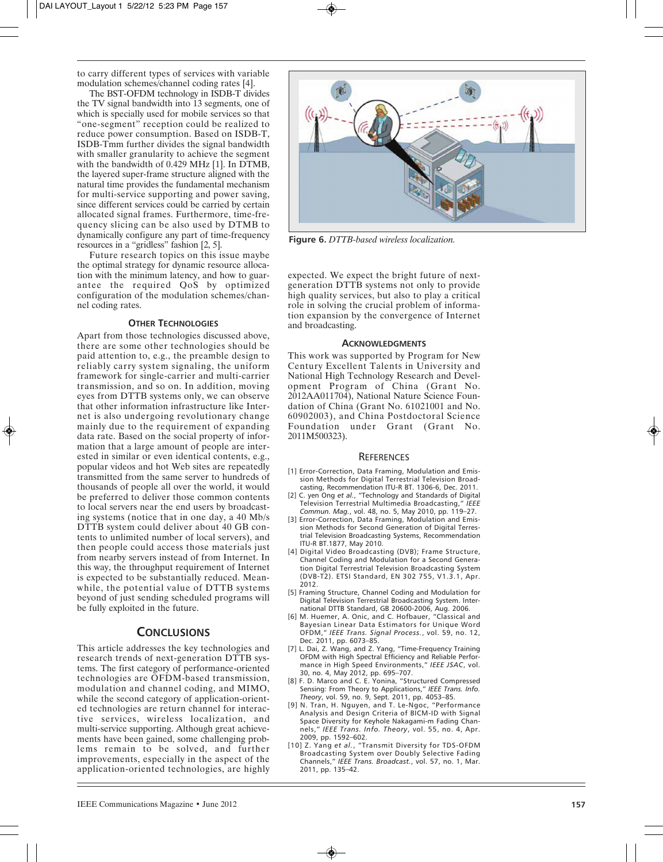to carry different types of services with variable modulation schemes/channel coding rates [4].

The BST-OFDM technology in ISDB-T divides the TV signal bandwidth into 13 segments, one of which is specially used for mobile services so that "one-segment" reception could be realized to reduce power consumption. Based on ISDB-T, ISDB-Tmm further divides the signal bandwidth with smaller granularity to achieve the segment with the bandwidth of 0.429 MHz [1]. In DTMB, the layered super-frame structure aligned with the natural time provides the fundamental mechanism for multi-service supporting and power saving, since different services could be carried by certain allocated signal frames. Furthermore, time-frequency slicing can be also used by DTMB to dynamically configure any part of time-frequency resources in a "gridless" fashion [2, 5].

Future research topics on this issue maybe the optimal strategy for dynamic resource allocation with the minimum latency, and how to guarantee the required QoS by optimized configuration of the modulation schemes/channel coding rates.

#### **OTHER TECHNOLOGIES**

Apart from those technologies discussed above, there are some other technologies should be paid attention to, e.g., the preamble design to reliably carry system signaling, the uniform framework for single-carrier and multi-carrier transmission, and so on. In addition, moving eyes from DTTB systems only, we can observe that other information infrastructure like Internet is also undergoing revolutionary change mainly due to the requirement of expanding data rate. Based on the social property of information that a large amount of people are interested in similar or even identical contents, e.g., popular videos and hot Web sites are repeatedly transmitted from the same server to hundreds of thousands of people all over the world, it would be preferred to deliver those common contents to local servers near the end users by broadcasting systems (notice that in one day, a 40 Mb/s DTTB system could deliver about 40 GB contents to unlimited number of local servers), and then people could access those materials just from nearby servers instead of from Internet. In this way, the throughput requirement of Internet is expected to be substantially reduced. Meanwhile, the potential value of DTTB systems beyond of just sending scheduled programs will be fully exploited in the future.

# **CONCLUSIONS**

This article addresses the key technologies and research trends of next-generation DTTB systems. The first category of performance-oriented technologies are OFDM-based transmission, modulation and channel coding, and MIMO, while the second category of application-oriented technologies are return channel for interactive services, wireless localization, and multi-service supporting. Although great achievements have been gained, some challenging problems remain to be solved, and further improvements, especially in the aspect of the application-oriented technologies, are highly



**Figure 6.** *DTTB-based wireless localization.*

expected. We expect the bright future of nextgeneration DTTB systems not only to provide high quality services, but also to play a critical role in solving the crucial problem of information expansion by the convergence of Internet and broadcasting.

#### **ACKNOWLEDGMENTS**

This work was supported by Program for New Century Excellent Talents in University and National High Technology Research and Development Program of China (Grant No. 2012AA011704), National Nature Science Foundation of China (Grant No. 61021001 and No. 60902003), and China Postdoctoral Science Foundation under Grant (Grant No. 2011M500323).

#### **REFERENCES**

- [1] Error-Correction, Data Framing, Modulation and Emission Methods for Digital Terrestrial Television Broadcasting, Recommendation ITU-R BT. 1306-6, Dec. 2011.
- [2] C. yen Ong *et al.*, "Technology and Standards of Digital Television Terrestrial Multimedia Broadcasting," *IEEE Commun. Mag.*, vol. 48, no. 5, May 2010, pp. 119–27.
- [3] Error-Correction, Data Framing, Modulation and Emission Methods for Second Generation of Digital Terrestrial Television Broadcasting Systems, Recommendation ITU-R BT.1877, May 2010.
- [4] Digital Video Broadcasting (DVB); Frame Structure, Channel Coding and Modulation for a Second Generation Digital Terrestrial Television Broadcasting System (DVB-T2). ETSI Standard, EN 302 755, V1.3.1, Apr. 2012.
- [5] Framing Structure, Channel Coding and Modulation for Digital Television Terrestrial Broadcasting System. International DTTB Standard, GB 20600-2006, Aug. 2006.
- [6] M. Huemer, A. Onic, and C. Hofbauer, "Classical and Bayesian Linear Data Estimators for Unique Word OFDM," *IEEE Trans. Signal Process.*, vol. 59, no. 12, Dec. 2011, pp. 6073–85.
- [7] L. Dai, Z. Wang, and Z. Yang, "Time-Frequency Training OFDM with High Spectral Efficiency and Reliable Performance in High Speed Environments," *IEEE JSAC*, vol. 30, no. 4, May 2012, pp. 695–707.
- [8] F. D. Marco and C. E. Yonina, "Structured Compressed Sensing: From Theory to Applications," *IEEE Trans. Info. Theory*, vol. 59, no. 9, Sept. 2011, pp. 4053–85.
- [9] N. Tran, H. Nguyen, and T. Le-Ngoc, "Performance Analysis and Design Criteria of BICM-ID with Signal Space Diversity for Keyhole Nakagami-m Fading Channels," *IEEE Trans. Info. Theory*, vol. 55, no. 4, Apr. 2009, pp. 1592–602. [10] Z. Yang *et al.*, "Transmit Diversity for TDS-OFDM
- Broadcasting System over Doubly Selective Fading Channels," *IEEE Trans. Broadcast.*, vol. 57, no. 1, Mar. 2011, pp. 135–42.